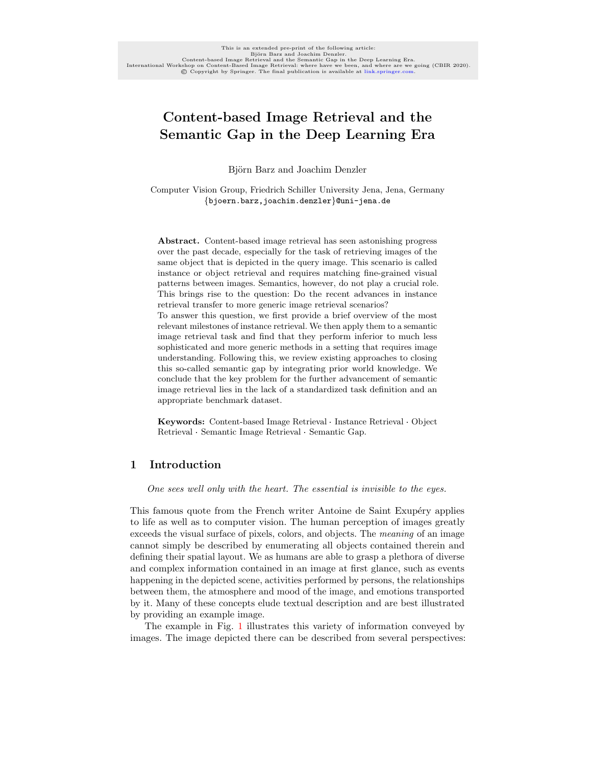# Content-based Image Retrieval and the Semantic Gap in the Deep Learning Era

Björn Barz and Joachim Denzler

Computer Vision Group, Friedrich Schiller University Jena, Jena, Germany {bjoern.barz,joachim.denzler}@uni-jena.de

Abstract. Content-based image retrieval has seen astonishing progress over the past decade, especially for the task of retrieving images of the same object that is depicted in the query image. This scenario is called instance or object retrieval and requires matching fine-grained visual patterns between images. Semantics, however, do not play a crucial role. This brings rise to the question: Do the recent advances in instance retrieval transfer to more generic image retrieval scenarios? To answer this question, we first provide a brief overview of the most relevant milestones of instance retrieval. We then apply them to a semantic image retrieval task and find that they perform inferior to much less sophisticated and more generic methods in a setting that requires image understanding. Following this, we review existing approaches to closing this so-called semantic gap by integrating prior world knowledge. We conclude that the key problem for the further advancement of semantic image retrieval lies in the lack of a standardized task definition and an appropriate benchmark dataset.

appropriate benchmark dataset.<br>Keywords: Content-based Image Retrieval · Instance Retrieval · Object **Keywords:** Content-based Image Retrieval · Instance<br>Retrieval · Semantic Image Retrieval · Semantic Gap.

# 1 Introduction

One sees well only with the heart. The essential is invisible to the eyes.

This famous quote from the French writer Antoine de Saint Exupéry applies to life as well as to computer vision. The human perception of images greatly exceeds the visual surface of pixels, colors, and objects. The meaning of an image cannot simply be described by enumerating all objects contained therein and defining their spatial layout. We as humans are able to grasp a plethora of diverse and complex information contained in an image at first glance, such as events happening in the depicted scene, activities performed by persons, the relationships between them, the atmosphere and mood of the image, and emotions transported by it. Many of these concepts elude textual description and are best illustrated by providing an example image.

The example in Fig. [1](#page-1-0) illustrates this variety of information conveyed by images. The image depicted there can be described from several perspectives: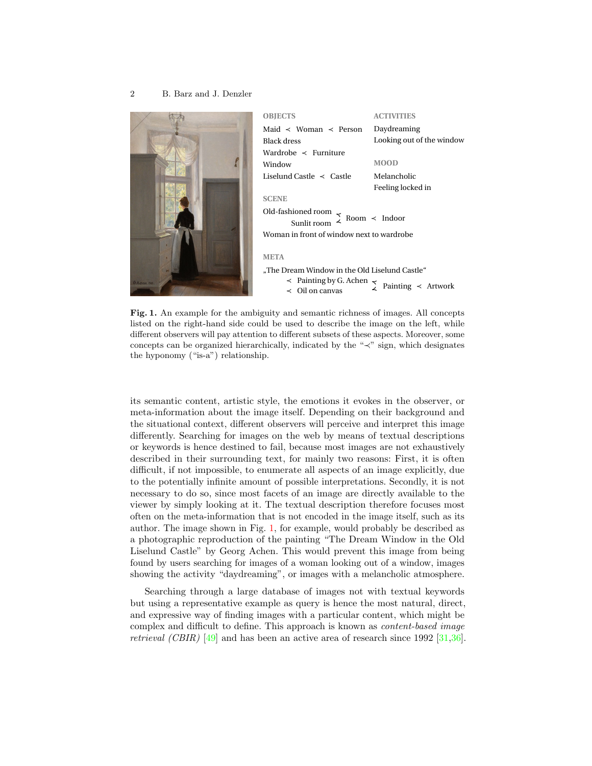

| <b>OBJECTS</b>                                                                            | <b>ACTIVITIES</b>         |
|-------------------------------------------------------------------------------------------|---------------------------|
| Maid $\prec$ Woman $\prec$ Person                                                         | Daydreaming               |
| Black dress                                                                               | Looking out of the window |
| Wardrobe $\prec$ Furniture                                                                |                           |
| Window                                                                                    | <b>MOOD</b>               |
| Liselund Castle $\prec$ Castle                                                            | Melancholic               |
|                                                                                           | Feeling locked in         |
| <b>SCENE</b>                                                                              |                           |
| Old-fashioned room<br>$\lesssim$ Room $\prec$ Indoor<br>Sunlit room                       |                           |
| Woman in front of window next to wardrobe                                                 |                           |
|                                                                                           |                           |
| <b>META</b>                                                                               |                           |
| "The Dream Window in the Old Liselund Castle"<br>$\alpha$ Deinting less $\alpha$ Agles on |                           |

≺ Painting by G. Achen  $\frac{1}{\leq}$  Painting  $\leq$  Artwork  $\leq$ 

<span id="page-1-0"></span>Fig. 1. An example for the ambiguity and semantic richness of images. All concepts listed on the right-hand side could be used to describe the image on the left, while different observers will pay attention to different subsets of these aspects. Moreover, some concepts can be organized hierarchically, indicated by the "≺" sign, which designates the hyponomy ("is-a") relationship.

its semantic content, artistic style, the emotions it evokes in the observer, or meta-information about the image itself. Depending on their background and the situational context, different observers will perceive and interpret this image differently. Searching for images on the web by means of textual descriptions or keywords is hence destined to fail, because most images are not exhaustively described in their surrounding text, for mainly two reasons: First, it is often difficult, if not impossible, to enumerate all aspects of an image explicitly, due to the potentially infinite amount of possible interpretations. Secondly, it is not necessary to do so, since most facets of an image are directly available to the viewer by simply looking at it. The textual description therefore focuses most often on the meta-information that is not encoded in the image itself, such as its author. The image shown in Fig. [1,](#page-1-0) for example, would probably be described as a photographic reproduction of the painting "The Dream Window in the Old Liselund Castle" by Georg Achen. This would prevent this image from being found by users searching for images of a woman looking out of a window, images showing the activity "daydreaming", or images with a melancholic atmosphere.

Searching through a large database of images not with textual keywords but using a representative example as query is hence the most natural, direct, and expressive way of finding images with a particular content, which might be complex and difficult to define. This approach is known as content-based image retrieval (CBIR) [\[49\]](#page-18-0) and has been an active area of research since 1992 [\[31](#page-16-0)[,36\]](#page-17-0).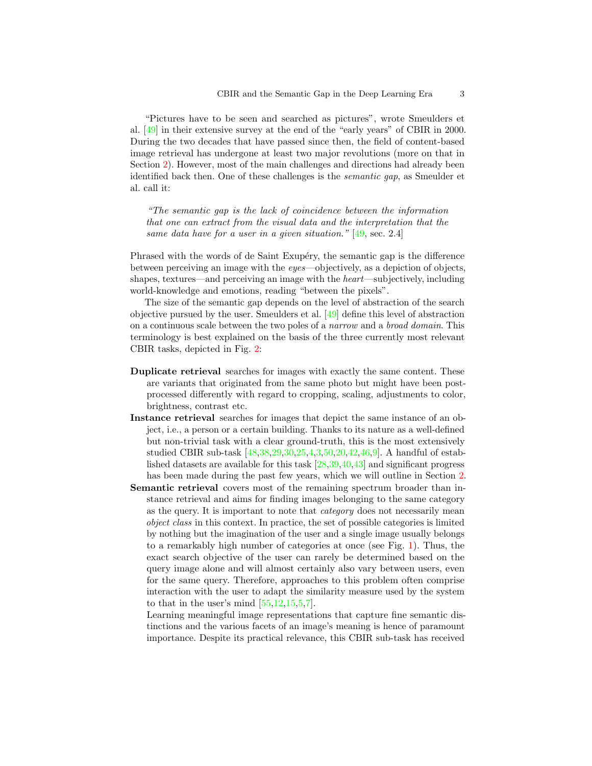"Pictures have to be seen and searched as pictures", wrote Smeulders et al. [\[49\]](#page-18-0) in their extensive survey at the end of the "early years" of CBIR in 2000. During the two decades that have passed since then, the field of content-based image retrieval has undergone at least two major revolutions (more on that in Section [2\)](#page-4-0). However, most of the main challenges and directions had already been identified back then. One of these challenges is the semantic gap, as Smeulder et al. call it:

"The semantic gap is the lack of coincidence between the information that one can extract from the visual data and the interpretation that the same data have for a user in a given situation." [\[49,](#page-18-0) sec. 2.4]

Phrased with the words of de Saint Exupéry, the semantic gap is the difference between perceiving an image with the eyes—objectively, as a depiction of objects, shapes, textures—and perceiving an image with the *heart*—subjectively, including world-knowledge and emotions, reading "between the pixels".

The size of the semantic gap depends on the level of abstraction of the search objective pursued by the user. Smeulders et al. [\[49\]](#page-18-0) define this level of abstraction on a continuous scale between the two poles of a narrow and a broad domain. This terminology is best explained on the basis of the three currently most relevant CBIR tasks, depicted in Fig. [2:](#page-3-0)

- Duplicate retrieval searches for images with exactly the same content. These are variants that originated from the same photo but might have been postprocessed differently with regard to cropping, scaling, adjustments to color, brightness, contrast etc.
- Instance retrieval searches for images that depict the same instance of an object, i.e., a person or a certain building. Thanks to its nature as a well-defined but non-trivial task with a clear ground-truth, this is the most extensively studied CBIR sub-task [\[48,](#page-18-1)[38,](#page-17-1)[29](#page-16-1)[,30,](#page-16-2)[25,](#page-16-3)[4](#page-15-0)[,3,](#page-15-1)[50,](#page-18-2)[20](#page-16-4)[,42,](#page-17-2)[46](#page-18-3)[,9\]](#page-15-2). A handful of established datasets are available for this task [\[28,](#page-16-5)[39,](#page-17-3)[40](#page-17-4)[,43\]](#page-17-5) and significant progress has been made during the past few years, which we will outline in Section [2.](#page-4-0)
- Semantic retrieval covers most of the remaining spectrum broader than instance retrieval and aims for finding images belonging to the same category as the query. It is important to note that category does not necessarily mean object class in this context. In practice, the set of possible categories is limited by nothing but the imagination of the user and a single image usually belongs to a remarkably high number of categories at once (see Fig. [1\)](#page-1-0). Thus, the exact search objective of the user can rarely be determined based on the query image alone and will almost certainly also vary between users, even for the same query. Therefore, approaches to this problem often comprise interaction with the user to adapt the similarity measure used by the system to that in the user's mind  $[55, 12, 15, 5, 7]$  $[55, 12, 15, 5, 7]$  $[55, 12, 15, 5, 7]$  $[55, 12, 15, 5, 7]$  $[55, 12, 15, 5, 7]$  $[55, 12, 15, 5, 7]$  $[55, 12, 15, 5, 7]$  $[55, 12, 15, 5, 7]$ .

Learning meaningful image representations that capture fine semantic distinctions and the various facets of an image's meaning is hence of paramount importance. Despite its practical relevance, this CBIR sub-task has received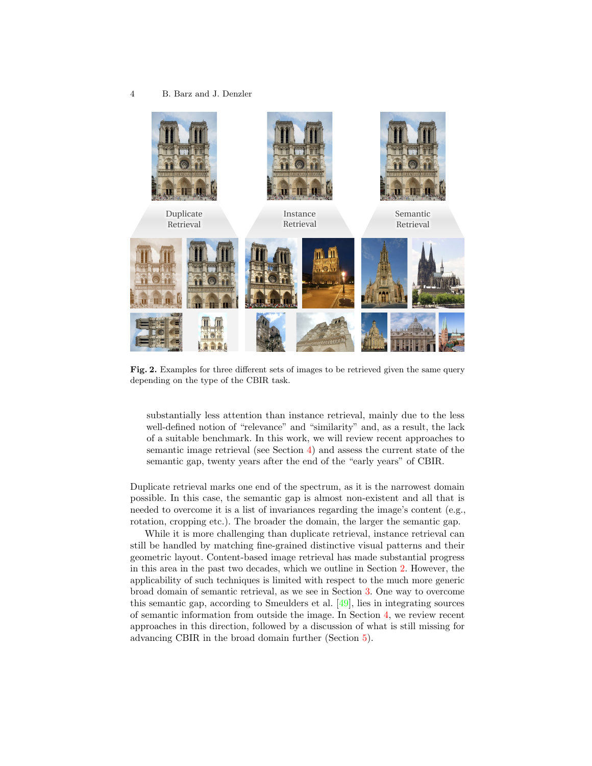

Fig. 2. Examples for three different sets of images to be retrieved given the same query depending on the type of the CBIR task.

<span id="page-3-0"></span>substantially less attention than instance retrieval, mainly due to the less well-defined notion of "relevance" and "similarity" and, as a result, the lack of a suitable benchmark. In this work, we will review recent approaches to semantic image retrieval (see Section [4\)](#page-10-0) and assess the current state of the semantic gap, twenty years after the end of the "early years" of CBIR.

Duplicate retrieval marks one end of the spectrum, as it is the narrowest domain possible. In this case, the semantic gap is almost non-existent and all that is needed to overcome it is a list of invariances regarding the image's content (e.g., rotation, cropping etc.). The broader the domain, the larger the semantic gap.

While it is more challenging than duplicate retrieval, instance retrieval can still be handled by matching fine-grained distinctive visual patterns and their geometric layout. Content-based image retrieval has made substantial progress in this area in the past two decades, which we outline in Section [2.](#page-4-0) However, the applicability of such techniques is limited with respect to the much more generic broad domain of semantic retrieval, as we see in Section [3.](#page-9-0) One way to overcome this semantic gap, according to Smeulders et al. [\[49\]](#page-18-0), lies in integrating sources of semantic information from outside the image. In Section [4,](#page-10-0) we review recent approaches in this direction, followed by a discussion of what is still missing for advancing CBIR in the broad domain further (Section [5\)](#page-13-0).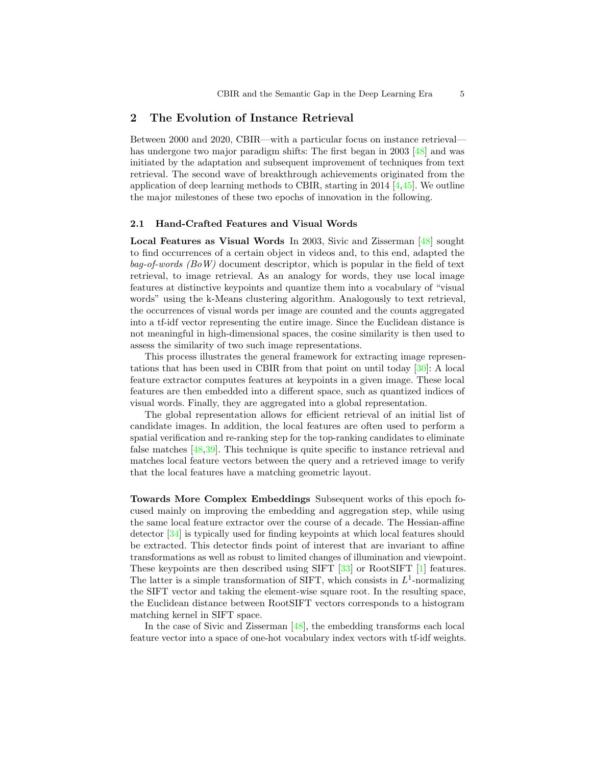# <span id="page-4-0"></span>2 The Evolution of Instance Retrieval

Between 2000 and 2020, CBIR—with a particular focus on instance retrieval— has undergone two major paradigm shifts: The first began in 2003 [\[48\]](#page-18-1) and was initiated by the adaptation and subsequent improvement of techniques from text retrieval. The second wave of breakthrough achievements originated from the application of deep learning methods to CBIR, starting in 2014  $[4,45]$  $[4,45]$ . We outline the major milestones of these two epochs of innovation in the following.

#### 2.1 Hand-Crafted Features and Visual Words

Local Features as Visual Words In 2003, Sivic and Zisserman [\[48\]](#page-18-1) sought to find occurrences of a certain object in videos and, to this end, adapted the  $bag-of-words$  (BoW) document descriptor, which is popular in the field of text retrieval, to image retrieval. As an analogy for words, they use local image features at distinctive keypoints and quantize them into a vocabulary of "visual words" using the k-Means clustering algorithm. Analogously to text retrieval, the occurrences of visual words per image are counted and the counts aggregated into a tf-idf vector representing the entire image. Since the Euclidean distance is not meaningful in high-dimensional spaces, the cosine similarity is then used to assess the similarity of two such image representations.

This process illustrates the general framework for extracting image representations that has been used in CBIR from that point on until today [\[30\]](#page-16-2): A local feature extractor computes features at keypoints in a given image. These local features are then embedded into a different space, such as quantized indices of visual words. Finally, they are aggregated into a global representation.

The global representation allows for efficient retrieval of an initial list of candidate images. In addition, the local features are often used to perform a spatial verification and re-ranking step for the top-ranking candidates to eliminate false matches [\[48,](#page-18-1)[39\]](#page-17-3). This technique is quite specific to instance retrieval and matches local feature vectors between the query and a retrieved image to verify that the local features have a matching geometric layout.

Towards More Complex Embeddings Subsequent works of this epoch focused mainly on improving the embedding and aggregation step, while using the same local feature extractor over the course of a decade. The Hessian-affine detector [\[34\]](#page-17-7) is typically used for finding keypoints at which local features should be extracted. This detector finds point of interest that are invariant to affine transformations as well as robust to limited changes of illumination and viewpoint. These keypoints are then described using SIFT [\[33\]](#page-17-8) or RootSIFT [\[1\]](#page-14-0) features. The latter is a simple transformation of SIFT, which consists in  $L^1$ -normalizing the SIFT vector and taking the element-wise square root. In the resulting space, the Euclidean distance between RootSIFT vectors corresponds to a histogram matching kernel in SIFT space.

In the case of Sivic and Zisserman [\[48\]](#page-18-1), the embedding transforms each local feature vector into a space of one-hot vocabulary index vectors with tf-idf weights.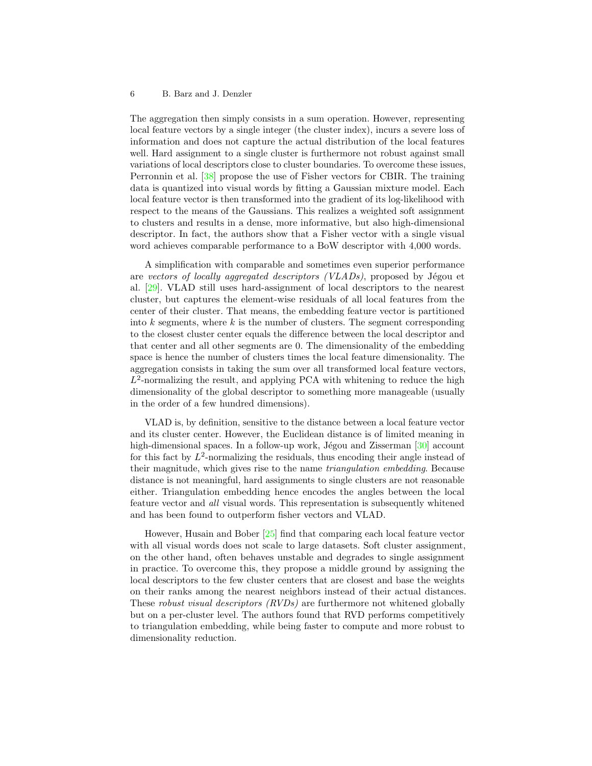The aggregation then simply consists in a sum operation. However, representing local feature vectors by a single integer (the cluster index), incurs a severe loss of information and does not capture the actual distribution of the local features well. Hard assignment to a single cluster is furthermore not robust against small variations of local descriptors close to cluster boundaries. To overcome these issues, Perronnin et al. [\[38\]](#page-17-1) propose the use of Fisher vectors for CBIR. The training data is quantized into visual words by fitting a Gaussian mixture model. Each local feature vector is then transformed into the gradient of its log-likelihood with respect to the means of the Gaussians. This realizes a weighted soft assignment to clusters and results in a dense, more informative, but also high-dimensional descriptor. In fact, the authors show that a Fisher vector with a single visual word achieves comparable performance to a BoW descriptor with 4,000 words.

A simplification with comparable and sometimes even superior performance are vectors of locally aggregated descriptors  $(VLADs)$ , proposed by Jégou et al. [\[29\]](#page-16-1). VLAD still uses hard-assignment of local descriptors to the nearest cluster, but captures the element-wise residuals of all local features from the center of their cluster. That means, the embedding feature vector is partitioned into  $k$  segments, where  $k$  is the number of clusters. The segment corresponding to the closest cluster center equals the difference between the local descriptor and that center and all other segments are 0. The dimensionality of the embedding space is hence the number of clusters times the local feature dimensionality. The aggregation consists in taking the sum over all transformed local feature vectors,  $L^2$ -normalizing the result, and applying PCA with whitening to reduce the high dimensionality of the global descriptor to something more manageable (usually in the order of a few hundred dimensions).

VLAD is, by definition, sensitive to the distance between a local feature vector and its cluster center. However, the Euclidean distance is of limited meaning in high-dimensional spaces. In a follow-up work, Jégou and Zisserman  $[30]$  account for this fact by  $L^2$ -normalizing the residuals, thus encoding their angle instead of their magnitude, which gives rise to the name triangulation embedding. Because distance is not meaningful, hard assignments to single clusters are not reasonable either. Triangulation embedding hence encodes the angles between the local feature vector and all visual words. This representation is subsequently whitened and has been found to outperform fisher vectors and VLAD.

However, Husain and Bober [\[25\]](#page-16-3) find that comparing each local feature vector with all visual words does not scale to large datasets. Soft cluster assignment, on the other hand, often behaves unstable and degrades to single assignment in practice. To overcome this, they propose a middle ground by assigning the local descriptors to the few cluster centers that are closest and base the weights on their ranks among the nearest neighbors instead of their actual distances. These robust visual descriptors (RVDs) are furthermore not whitened globally but on a per-cluster level. The authors found that RVD performs competitively to triangulation embedding, while being faster to compute and more robust to dimensionality reduction.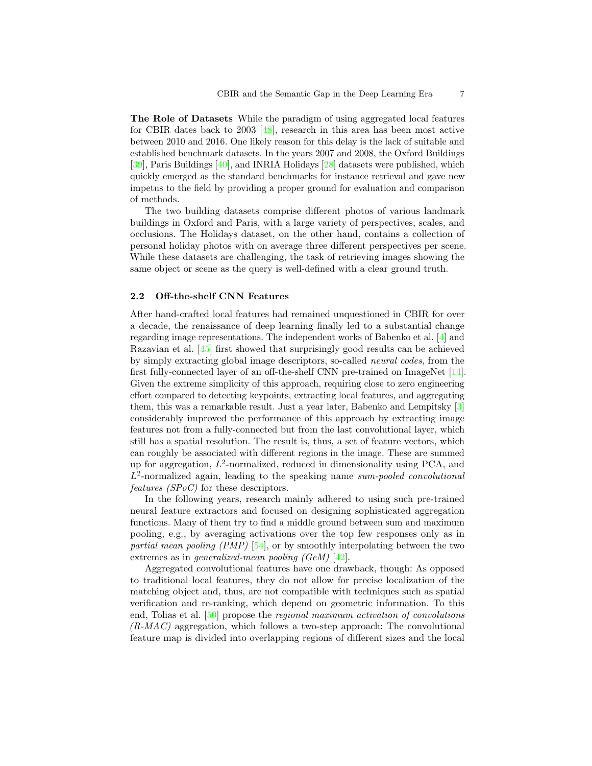The Role of Datasets While the paradigm of using aggregated local features for CBIR dates back to 2003 [\[48\]](#page-18-1), research in this area has been most active between 2010 and 2016. One likely reason for this delay is the lack of suitable and established benchmark datasets. In the years 2007 and 2008, the Oxford Buildings [\[39\]](#page-17-3), Paris Buildings [\[40\]](#page-17-4), and INRIA Holidays [\[28\]](#page-16-5) datasets were published, which quickly emerged as the standard benchmarks for instance retrieval and gave new impetus to the field by providing a proper ground for evaluation and comparison of methods.

The two building datasets comprise different photos of various landmark buildings in Oxford and Paris, with a large variety of perspectives, scales, and occlusions. The Holidays dataset, on the other hand, contains a collection of personal holiday photos with on average three different perspectives per scene. While these datasets are challenging, the task of retrieving images showing the same object or scene as the query is well-defined with a clear ground truth.

## 2.2 Off-the-shelf CNN Features

After hand-crafted local features had remained unquestioned in CBIR for over a decade, the renaissance of deep learning finally led to a substantial change regarding image representations. The independent works of Babenko et al. [\[4\]](#page-15-0) and Razavian et al. [\[45\]](#page-17-6) first showed that surprisingly good results can be achieved by simply extracting global image descriptors, so-called neural codes, from the first fully-connected layer of an off-the-shelf CNN pre-trained on ImageNet [\[14\]](#page-15-7). Given the extreme simplicity of this approach, requiring close to zero engineering effort compared to detecting keypoints, extracting local features, and aggregating them, this was a remarkable result. Just a year later, Babenko and Lempitsky [\[3\]](#page-15-1) considerably improved the performance of this approach by extracting image features not from a fully-connected but from the last convolutional layer, which still has a spatial resolution. The result is, thus, a set of feature vectors, which can roughly be associated with different regions in the image. These are summed up for aggregation,  $L^2$ -normalized, reduced in dimensionality using PCA, and  $L^2$ -normalized again, leading to the speaking name sum-pooled convolutional features (SPoC) for these descriptors.

In the following years, research mainly adhered to using such pre-trained neural feature extractors and focused on designing sophisticated aggregation functions. Many of them try to find a middle ground between sum and maximum pooling, e.g., by averaging activations over the top few responses only as in partial mean pooling (PMP) [\[54\]](#page-18-5), or by smoothly interpolating between the two extremes as in *generalized-mean pooling (GeM)* [\[42\]](#page-17-2).

Aggregated convolutional features have one drawback, though: As opposed to traditional local features, they do not allow for precise localization of the matching object and, thus, are not compatible with techniques such as spatial verification and re-ranking, which depend on geometric information. To this end, Tolias et al. [\[50\]](#page-18-2) propose the regional maximum activation of convolutions  $(R-MAC)$  aggregation, which follows a two-step approach: The convolutional feature map is divided into overlapping regions of different sizes and the local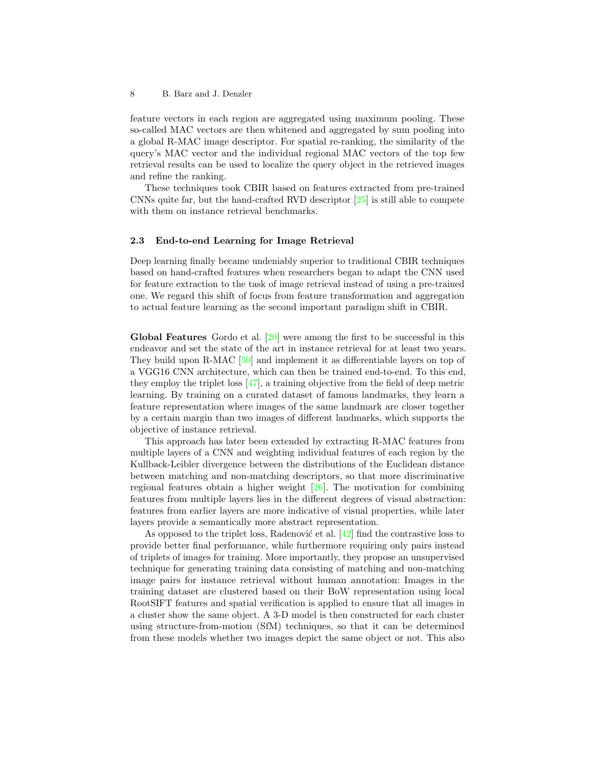feature vectors in each region are aggregated using maximum pooling. These so-called MAC vectors are then whitened and aggregated by sum pooling into a global R-MAC image descriptor. For spatial re-ranking, the similarity of the query's MAC vector and the individual regional MAC vectors of the top few retrieval results can be used to localize the query object in the retrieved images and refine the ranking.

These techniques took CBIR based on features extracted from pre-trained CNNs quite far, but the hand-crafted RVD descriptor  $[25]$  is still able to compete with them on instance retrieval benchmarks.

## 2.3 End-to-end Learning for Image Retrieval

Deep learning finally became undeniably superior to traditional CBIR techniques based on hand-crafted features when researchers began to adapt the CNN used for feature extraction to the task of image retrieval instead of using a pre-trained one. We regard this shift of focus from feature transformation and aggregation to actual feature learning as the second important paradigm shift in CBIR.

Global Features Gordo et al. [\[20\]](#page-16-4) were among the first to be successful in this endeavor and set the state of the art in instance retrieval for at least two years. They build upon R-MAC [\[50\]](#page-18-2) and implement it as differentiable layers on top of a VGG16 CNN architecture, which can then be trained end-to-end. To this end, they employ the triplet loss [\[47\]](#page-18-6), a training objective from the field of deep metric learning. By training on a curated dataset of famous landmarks, they learn a feature representation where images of the same landmark are closer together by a certain margin than two images of different landmarks, which supports the objective of instance retrieval.

This approach has later been extended by extracting R-MAC features from multiple layers of a CNN and weighting individual features of each region by the Kullback-Leibler divergence between the distributions of the Euclidean distance between matching and non-matching descriptors, so that more discriminative regional features obtain a higher weight [\[26\]](#page-16-6). The motivation for combining features from multiple layers lies in the different degrees of visual abstraction: features from earlier layers are more indicative of visual properties, while later layers provide a semantically more abstract representation.

As opposed to the triplet loss, Radenović et al.  $[42]$  find the contrastive loss to provide better final performance, while furthermore requiring only pairs instead of triplets of images for training. More importantly, they propose an unsupervised technique for generating training data consisting of matching and non-matching image pairs for instance retrieval without human annotation: Images in the training dataset are clustered based on their BoW representation using local RootSIFT features and spatial verification is applied to ensure that all images in a cluster show the same object. A 3-D model is then constructed for each cluster using structure-from-motion (SfM) techniques, so that it can be determined from these models whether two images depict the same object or not. This also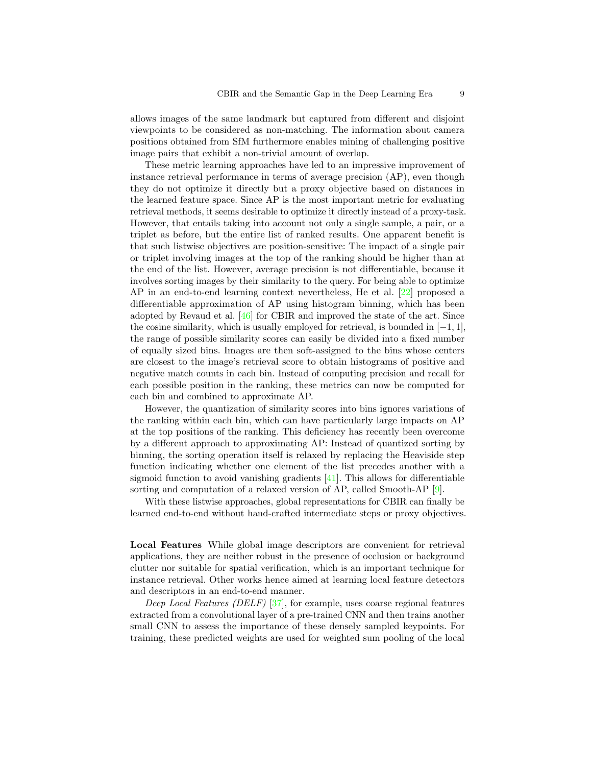allows images of the same landmark but captured from different and disjoint viewpoints to be considered as non-matching. The information about camera positions obtained from SfM furthermore enables mining of challenging positive image pairs that exhibit a non-trivial amount of overlap.

These metric learning approaches have led to an impressive improvement of instance retrieval performance in terms of average precision (AP), even though they do not optimize it directly but a proxy objective based on distances in the learned feature space. Since AP is the most important metric for evaluating retrieval methods, it seems desirable to optimize it directly instead of a proxy-task. However, that entails taking into account not only a single sample, a pair, or a triplet as before, but the entire list of ranked results. One apparent benefit is that such listwise objectives are position-sensitive: The impact of a single pair or triplet involving images at the top of the ranking should be higher than at the end of the list. However, average precision is not differentiable, because it involves sorting images by their similarity to the query. For being able to optimize AP in an end-to-end learning context nevertheless, He et al. [\[22\]](#page-16-7) proposed a differentiable approximation of AP using histogram binning, which has been adopted by Revaud et al. [\[46\]](#page-18-3) for CBIR and improved the state of the art. Since the cosine similarity, which is usually employed for retrieval, is bounded in  $[-1, 1]$ , the range of possible similarity scores can easily be divided into a fixed number of equally sized bins. Images are then soft-assigned to the bins whose centers are closest to the image's retrieval score to obtain histograms of positive and negative match counts in each bin. Instead of computing precision and recall for each possible position in the ranking, these metrics can now be computed for each bin and combined to approximate AP.

However, the quantization of similarity scores into bins ignores variations of the ranking within each bin, which can have particularly large impacts on AP at the top positions of the ranking. This deficiency has recently been overcome by a different approach to approximating AP: Instead of quantized sorting by binning, the sorting operation itself is relaxed by replacing the Heaviside step function indicating whether one element of the list precedes another with a sigmoid function to avoid vanishing gradients  $[41]$ . This allows for differentiable sorting and computation of a relaxed version of AP, called Smooth-AP [\[9\]](#page-15-2).

With these listwise approaches, global representations for CBIR can finally be learned end-to-end without hand-crafted intermediate steps or proxy objectives.

Local Features While global image descriptors are convenient for retrieval applications, they are neither robust in the presence of occlusion or background clutter nor suitable for spatial verification, which is an important technique for instance retrieval. Other works hence aimed at learning local feature detectors and descriptors in an end-to-end manner.

Deep Local Features (DELF) [\[37\]](#page-17-10), for example, uses coarse regional features extracted from a convolutional layer of a pre-trained CNN and then trains another small CNN to assess the importance of these densely sampled keypoints. For training, these predicted weights are used for weighted sum pooling of the local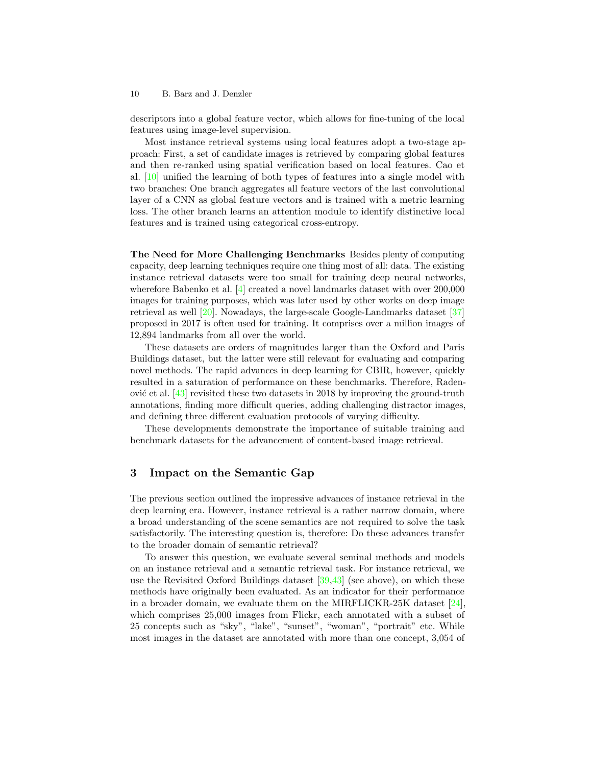descriptors into a global feature vector, which allows for fine-tuning of the local features using image-level supervision.

Most instance retrieval systems using local features adopt a two-stage approach: First, a set of candidate images is retrieved by comparing global features and then re-ranked using spatial verification based on local features. Cao et al. [\[10\]](#page-15-8) unified the learning of both types of features into a single model with two branches: One branch aggregates all feature vectors of the last convolutional layer of a CNN as global feature vectors and is trained with a metric learning loss. The other branch learns an attention module to identify distinctive local features and is trained using categorical cross-entropy.

The Need for More Challenging Benchmarks Besides plenty of computing capacity, deep learning techniques require one thing most of all: data. The existing instance retrieval datasets were too small for training deep neural networks, wherefore Babenko et al. [\[4\]](#page-15-0) created a novel landmarks dataset with over 200,000 images for training purposes, which was later used by other works on deep image retrieval as well [\[20\]](#page-16-4). Nowadays, the large-scale Google-Landmarks dataset [\[37\]](#page-17-10) proposed in 2017 is often used for training. It comprises over a million images of 12,894 landmarks from all over the world.

These datasets are orders of magnitudes larger than the Oxford and Paris Buildings dataset, but the latter were still relevant for evaluating and comparing novel methods. The rapid advances in deep learning for CBIR, however, quickly resulted in a saturation of performance on these benchmarks. Therefore, Radenović et al.  $[43]$  revisited these two datasets in 2018 by improving the ground-truth annotations, finding more difficult queries, adding challenging distractor images, and defining three different evaluation protocols of varying difficulty.

These developments demonstrate the importance of suitable training and benchmark datasets for the advancement of content-based image retrieval.

# <span id="page-9-0"></span>3 Impact on the Semantic Gap

The previous section outlined the impressive advances of instance retrieval in the deep learning era. However, instance retrieval is a rather narrow domain, where a broad understanding of the scene semantics are not required to solve the task satisfactorily. The interesting question is, therefore: Do these advances transfer to the broader domain of semantic retrieval?

To answer this question, we evaluate several seminal methods and models on an instance retrieval and a semantic retrieval task. For instance retrieval, we use the Revisited Oxford Buildings dataset  $[39,43]$  $[39,43]$  (see above), on which these methods have originally been evaluated. As an indicator for their performance in a broader domain, we evaluate them on the MIRFLICKR-25K dataset [\[24\]](#page-16-8), which comprises 25,000 images from Flickr, each annotated with a subset of 25 concepts such as "sky", "lake", "sunset", "woman", "portrait" etc. While most images in the dataset are annotated with more than one concept, 3,054 of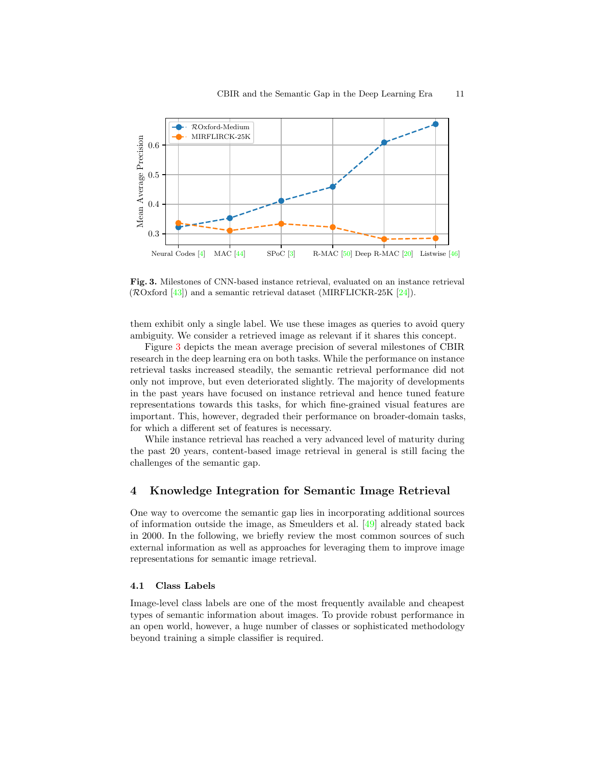

<span id="page-10-1"></span>Fig. 3. Milestones of CNN-based instance retrieval, evaluated on an instance retrieval ( $\mathcal{R}Ox$  [\[43\]](#page-17-5)) and a semantic retrieval dataset (MIRFLICKR-25K [\[24\]](#page-16-8)).

them exhibit only a single label. We use these images as queries to avoid query ambiguity. We consider a retrieved image as relevant if it shares this concept.

Figure [3](#page-10-1) depicts the mean average precision of several milestones of CBIR research in the deep learning era on both tasks. While the performance on instance retrieval tasks increased steadily, the semantic retrieval performance did not only not improve, but even deteriorated slightly. The majority of developments in the past years have focused on instance retrieval and hence tuned feature representations towards this tasks, for which fine-grained visual features are important. This, however, degraded their performance on broader-domain tasks, for which a different set of features is necessary.

While instance retrieval has reached a very advanced level of maturity during the past 20 years, content-based image retrieval in general is still facing the challenges of the semantic gap.

# <span id="page-10-0"></span>4 Knowledge Integration for Semantic Image Retrieval

One way to overcome the semantic gap lies in incorporating additional sources of information outside the image, as Smeulders et al. [\[49\]](#page-18-0) already stated back in 2000. In the following, we briefly review the most common sources of such external information as well as approaches for leveraging them to improve image representations for semantic image retrieval.

## 4.1 Class Labels

Image-level class labels are one of the most frequently available and cheapest types of semantic information about images. To provide robust performance in an open world, however, a huge number of classes or sophisticated methodology beyond training a simple classifier is required.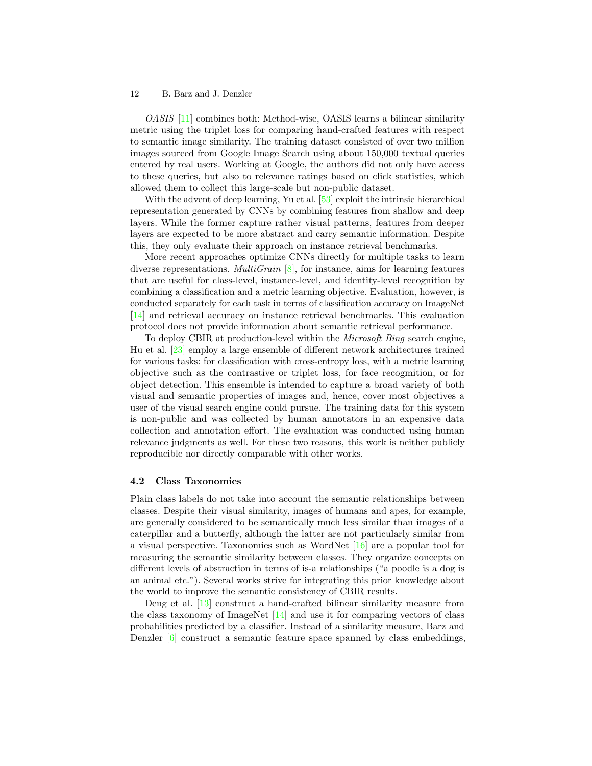OASIS [\[11\]](#page-15-9) combines both: Method-wise, OASIS learns a bilinear similarity metric using the triplet loss for comparing hand-crafted features with respect to semantic image similarity. The training dataset consisted of over two million images sourced from Google Image Search using about 150,000 textual queries entered by real users. Working at Google, the authors did not only have access to these queries, but also to relevance ratings based on click statistics, which allowed them to collect this large-scale but non-public dataset.

With the advent of deep learning, Yu et al. [\[53\]](#page-18-7) exploit the intrinsic hierarchical representation generated by CNNs by combining features from shallow and deep layers. While the former capture rather visual patterns, features from deeper layers are expected to be more abstract and carry semantic information. Despite this, they only evaluate their approach on instance retrieval benchmarks.

More recent approaches optimize CNNs directly for multiple tasks to learn diverse representations. *MultiGrain*  $[8]$ , for instance, aims for learning features that are useful for class-level, instance-level, and identity-level recognition by combining a classification and a metric learning objective. Evaluation, however, is conducted separately for each task in terms of classification accuracy on ImageNet [\[14\]](#page-15-7) and retrieval accuracy on instance retrieval benchmarks. This evaluation protocol does not provide information about semantic retrieval performance.

To deploy CBIR at production-level within the Microsoft Bing search engine, Hu et al. [\[23\]](#page-16-9) employ a large ensemble of different network architectures trained for various tasks: for classification with cross-entropy loss, with a metric learning objective such as the contrastive or triplet loss, for face recogmition, or for object detection. This ensemble is intended to capture a broad variety of both visual and semantic properties of images and, hence, cover most objectives a user of the visual search engine could pursue. The training data for this system is non-public and was collected by human annotators in an expensive data collection and annotation effort. The evaluation was conducted using human relevance judgments as well. For these two reasons, this work is neither publicly reproducible nor directly comparable with other works.

#### 4.2 Class Taxonomies

Plain class labels do not take into account the semantic relationships between classes. Despite their visual similarity, images of humans and apes, for example, are generally considered to be semantically much less similar than images of a caterpillar and a butterfly, although the latter are not particularly similar from a visual perspective. Taxonomies such as WordNet [\[16\]](#page-15-11) are a popular tool for measuring the semantic similarity between classes. They organize concepts on different levels of abstraction in terms of is-a relationships ("a poodle is a dog is an animal etc."). Several works strive for integrating this prior knowledge about the world to improve the semantic consistency of CBIR results.

Deng et al. [\[13\]](#page-15-12) construct a hand-crafted bilinear similarity measure from the class taxonomy of ImageNet  $[14]$  and use it for comparing vectors of class probabilities predicted by a classifier. Instead of a similarity measure, Barz and Denzler [\[6\]](#page-15-13) construct a semantic feature space spanned by class embeddings,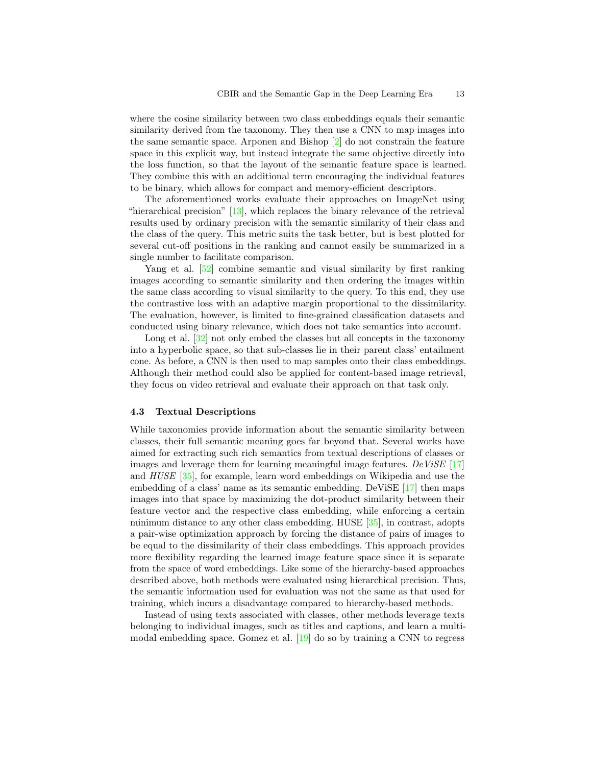where the cosine similarity between two class embeddings equals their semantic similarity derived from the taxonomy. They then use a CNN to map images into the same semantic space. Arponen and Bishop [\[2\]](#page-15-14) do not constrain the feature space in this explicit way, but instead integrate the same objective directly into the loss function, so that the layout of the semantic feature space is learned. They combine this with an additional term encouraging the individual features to be binary, which allows for compact and memory-efficient descriptors.

The aforementioned works evaluate their approaches on ImageNet using "hierarchical precision"  $[13]$ , which replaces the binary relevance of the retrieval results used by ordinary precision with the semantic similarity of their class and the class of the query. This metric suits the task better, but is best plotted for several cut-off positions in the ranking and cannot easily be summarized in a single number to facilitate comparison.

Yang et al. [\[52\]](#page-18-8) combine semantic and visual similarity by first ranking images according to semantic similarity and then ordering the images within the same class according to visual similarity to the query. To this end, they use the contrastive loss with an adaptive margin proportional to the dissimilarity. The evaluation, however, is limited to fine-grained classification datasets and conducted using binary relevance, which does not take semantics into account.

Long et al. [\[32\]](#page-17-12) not only embed the classes but all concepts in the taxonomy into a hyperbolic space, so that sub-classes lie in their parent class' entailment cone. As before, a CNN is then used to map samples onto their class embeddings. Although their method could also be applied for content-based image retrieval, they focus on video retrieval and evaluate their approach on that task only.

#### 4.3 Textual Descriptions

While taxonomies provide information about the semantic similarity between classes, their full semantic meaning goes far beyond that. Several works have aimed for extracting such rich semantics from textual descriptions of classes or images and leverage them for learning meaningful image features.  $DeViSE$  [\[17\]](#page-15-15) and HUSE [\[35\]](#page-17-13), for example, learn word embeddings on Wikipedia and use the embedding of a class' name as its semantic embedding. DeViSE [\[17\]](#page-15-15) then maps images into that space by maximizing the dot-product similarity between their feature vector and the respective class embedding, while enforcing a certain minimum distance to any other class embedding. HUSE [\[35\]](#page-17-13), in contrast, adopts a pair-wise optimization approach by forcing the distance of pairs of images to be equal to the dissimilarity of their class embeddings. This approach provides more flexibility regarding the learned image feature space since it is separate from the space of word embeddings. Like some of the hierarchy-based approaches described above, both methods were evaluated using hierarchical precision. Thus, the semantic information used for evaluation was not the same as that used for training, which incurs a disadvantage compared to hierarchy-based methods.

Instead of using texts associated with classes, other methods leverage texts belonging to individual images, such as titles and captions, and learn a multimodal embedding space. Gomez et al. [\[19\]](#page-16-10) do so by training a CNN to regress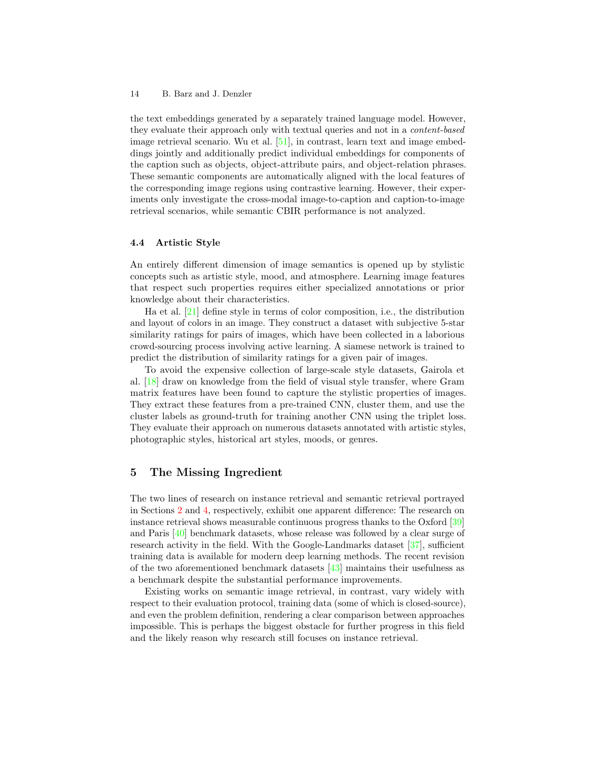the text embeddings generated by a separately trained language model. However, they evaluate their approach only with textual queries and not in a content-based image retrieval scenario. Wu et al. [\[51\]](#page-18-9), in contrast, learn text and image embeddings jointly and additionally predict individual embeddings for components of the caption such as objects, object-attribute pairs, and object-relation phrases. These semantic components are automatically aligned with the local features of the corresponding image regions using contrastive learning. However, their experiments only investigate the cross-modal image-to-caption and caption-to-image retrieval scenarios, while semantic CBIR performance is not analyzed.

# 4.4 Artistic Style

An entirely different dimension of image semantics is opened up by stylistic concepts such as artistic style, mood, and atmosphere. Learning image features that respect such properties requires either specialized annotations or prior knowledge about their characteristics.

Ha et al. [\[21\]](#page-16-11) define style in terms of color composition, i.e., the distribution and layout of colors in an image. They construct a dataset with subjective 5-star similarity ratings for pairs of images, which have been collected in a laborious crowd-sourcing process involving active learning. A siamese network is trained to predict the distribution of similarity ratings for a given pair of images.

To avoid the expensive collection of large-scale style datasets, Gairola et al. [\[18\]](#page-16-12) draw on knowledge from the field of visual style transfer, where Gram matrix features have been found to capture the stylistic properties of images. They extract these features from a pre-trained CNN, cluster them, and use the cluster labels as ground-truth for training another CNN using the triplet loss. They evaluate their approach on numerous datasets annotated with artistic styles, photographic styles, historical art styles, moods, or genres.

# <span id="page-13-0"></span>5 The Missing Ingredient

The two lines of research on instance retrieval and semantic retrieval portrayed in Sections [2](#page-4-0) and [4,](#page-10-0) respectively, exhibit one apparent difference: The research on instance retrieval shows measurable continuous progress thanks to the Oxford [\[39\]](#page-17-3) and Paris [\[40\]](#page-17-4) benchmark datasets, whose release was followed by a clear surge of research activity in the field. With the Google-Landmarks dataset [\[37\]](#page-17-10), sufficient training data is available for modern deep learning methods. The recent revision of the two aforementioned benchmark datasets [\[43\]](#page-17-5) maintains their usefulness as a benchmark despite the substantial performance improvements.

Existing works on semantic image retrieval, in contrast, vary widely with respect to their evaluation protocol, training data (some of which is closed-source), and even the problem definition, rendering a clear comparison between approaches impossible. This is perhaps the biggest obstacle for further progress in this field and the likely reason why research still focuses on instance retrieval.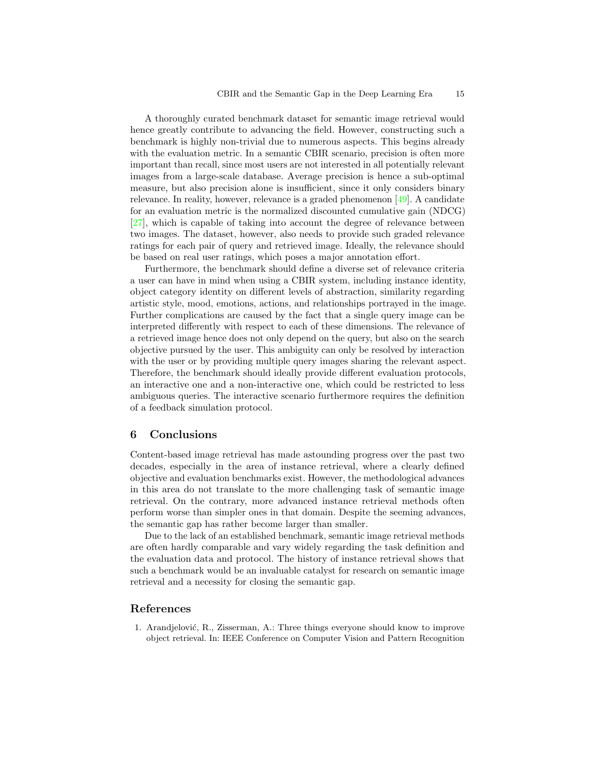A thoroughly curated benchmark dataset for semantic image retrieval would hence greatly contribute to advancing the field. However, constructing such a benchmark is highly non-trivial due to numerous aspects. This begins already with the evaluation metric. In a semantic CBIR scenario, precision is often more important than recall, since most users are not interested in all potentially relevant images from a large-scale database. Average precision is hence a sub-optimal measure, but also precision alone is insufficient, since it only considers binary relevance. In reality, however, relevance is a graded phenomenon [\[49\]](#page-18-0). A candidate for an evaluation metric is the normalized discounted cumulative gain (NDCG) [\[27\]](#page-16-13), which is capable of taking into account the degree of relevance between two images. The dataset, however, also needs to provide such graded relevance ratings for each pair of query and retrieved image. Ideally, the relevance should be based on real user ratings, which poses a major annotation effort.

Furthermore, the benchmark should define a diverse set of relevance criteria a user can have in mind when using a CBIR system, including instance identity, object category identity on different levels of abstraction, similarity regarding artistic style, mood, emotions, actions, and relationships portrayed in the image. Further complications are caused by the fact that a single query image can be interpreted differently with respect to each of these dimensions. The relevance of a retrieved image hence does not only depend on the query, but also on the search objective pursued by the user. This ambiguity can only be resolved by interaction with the user or by providing multiple query images sharing the relevant aspect. Therefore, the benchmark should ideally provide different evaluation protocols, an interactive one and a non-interactive one, which could be restricted to less ambiguous queries. The interactive scenario furthermore requires the definition of a feedback simulation protocol.

# 6 Conclusions

Content-based image retrieval has made astounding progress over the past two decades, especially in the area of instance retrieval, where a clearly defined objective and evaluation benchmarks exist. However, the methodological advances in this area do not translate to the more challenging task of semantic image retrieval. On the contrary, more advanced instance retrieval methods often perform worse than simpler ones in that domain. Despite the seeming advances, the semantic gap has rather become larger than smaller.

Due to the lack of an established benchmark, semantic image retrieval methods are often hardly comparable and vary widely regarding the task definition and the evaluation data and protocol. The history of instance retrieval shows that such a benchmark would be an invaluable catalyst for research on semantic image retrieval and a necessity for closing the semantic gap.

## References

<span id="page-14-0"></span>1. Arandjelović, R., Zisserman, A.: Three things everyone should know to improve object retrieval. In: IEEE Conference on Computer Vision and Pattern Recognition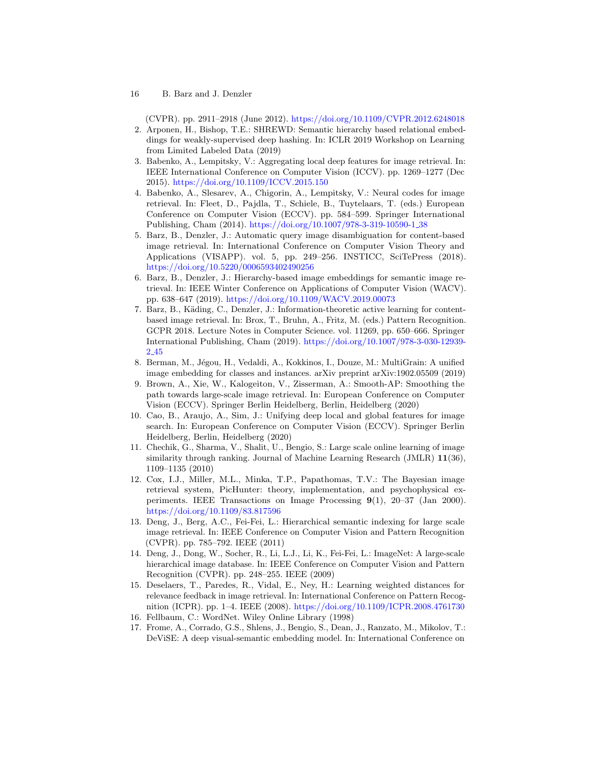(CVPR). pp. 2911–2918 (June 2012). <https://doi.org/10.1109/CVPR.2012.6248018>

- <span id="page-15-14"></span>2. Arponen, H., Bishop, T.E.: SHREWD: Semantic hierarchy based relational embeddings for weakly-supervised deep hashing. In: ICLR 2019 Workshop on Learning from Limited Labeled Data (2019)
- <span id="page-15-1"></span>3. Babenko, A., Lempitsky, V.: Aggregating local deep features for image retrieval. In: IEEE International Conference on Computer Vision (ICCV). pp. 1269–1277 (Dec 2015). <https://doi.org/10.1109/ICCV.2015.150>
- <span id="page-15-0"></span>4. Babenko, A., Slesarev, A., Chigorin, A., Lempitsky, V.: Neural codes for image retrieval. In: Fleet, D., Pajdla, T., Schiele, B., Tuytelaars, T. (eds.) European Conference on Computer Vision (ECCV). pp. 584–599. Springer International Publishing, Cham (2014). [https://doi.org/10.1007/978-3-319-10590-1](https://doi.org/10.1007/978-3-319-10590-1_38) 38
- <span id="page-15-5"></span>5. Barz, B., Denzler, J.: Automatic query image disambiguation for content-based image retrieval. In: International Conference on Computer Vision Theory and Applications (VISAPP). vol. 5, pp. 249–256. INSTICC, SciTePress (2018). <https://doi.org/10.5220/0006593402490256>
- <span id="page-15-13"></span>6. Barz, B., Denzler, J.: Hierarchy-based image embeddings for semantic image retrieval. In: IEEE Winter Conference on Applications of Computer Vision (WACV). pp. 638–647 (2019). <https://doi.org/10.1109/WACV.2019.00073>
- <span id="page-15-6"></span>7. Barz, B., Käding, C., Denzler, J.: Information-theoretic active learning for contentbased image retrieval. In: Brox, T., Bruhn, A., Fritz, M. (eds.) Pattern Recognition. GCPR 2018. Lecture Notes in Computer Science. vol. 11269, pp. 650–666. Springer International Publishing, Cham (2019). [https://doi.org/10.1007/978-3-030-12939-](https://doi.org/10.1007/978-3-030-12939-2_45) 2 [45](https://doi.org/10.1007/978-3-030-12939-2_45)
- <span id="page-15-10"></span>8. Berman, M., Jégou, H., Vedaldi, A., Kokkinos, I., Douze, M.: MultiGrain: A unified image embedding for classes and instances. arXiv preprint arXiv:1902.05509 (2019)
- <span id="page-15-2"></span>9. Brown, A., Xie, W., Kalogeiton, V., Zisserman, A.: Smooth-AP: Smoothing the path towards large-scale image retrieval. In: European Conference on Computer Vision (ECCV). Springer Berlin Heidelberg, Berlin, Heidelberg (2020)
- <span id="page-15-8"></span>10. Cao, B., Araujo, A., Sim, J.: Unifying deep local and global features for image search. In: European Conference on Computer Vision (ECCV). Springer Berlin Heidelberg, Berlin, Heidelberg (2020)
- <span id="page-15-9"></span>11. Chechik, G., Sharma, V., Shalit, U., Bengio, S.: Large scale online learning of image similarity through ranking. Journal of Machine Learning Research (JMLR) 11(36), 1109–1135 (2010)
- <span id="page-15-3"></span>12. Cox, I.J., Miller, M.L., Minka, T.P., Papathomas, T.V.: The Bayesian image retrieval system, PicHunter: theory, implementation, and psychophysical experiments. IEEE Transactions on Image Processing 9(1), 20–37 (Jan 2000). <https://doi.org/10.1109/83.817596>
- <span id="page-15-12"></span>13. Deng, J., Berg, A.C., Fei-Fei, L.: Hierarchical semantic indexing for large scale image retrieval. In: IEEE Conference on Computer Vision and Pattern Recognition (CVPR). pp. 785–792. IEEE (2011)
- <span id="page-15-7"></span>14. Deng, J., Dong, W., Socher, R., Li, L.J., Li, K., Fei-Fei, L.: ImageNet: A large-scale hierarchical image database. In: IEEE Conference on Computer Vision and Pattern Recognition (CVPR). pp. 248–255. IEEE (2009)
- <span id="page-15-4"></span>15. Deselaers, T., Paredes, R., Vidal, E., Ney, H.: Learning weighted distances for relevance feedback in image retrieval. In: International Conference on Pattern Recognition (ICPR). pp. 1–4. IEEE (2008). <https://doi.org/10.1109/ICPR.2008.4761730>
- <span id="page-15-11"></span>16. Fellbaum, C.: WordNet. Wiley Online Library (1998)
- <span id="page-15-15"></span>17. Frome, A., Corrado, G.S., Shlens, J., Bengio, S., Dean, J., Ranzato, M., Mikolov, T.: DeViSE: A deep visual-semantic embedding model. In: International Conference on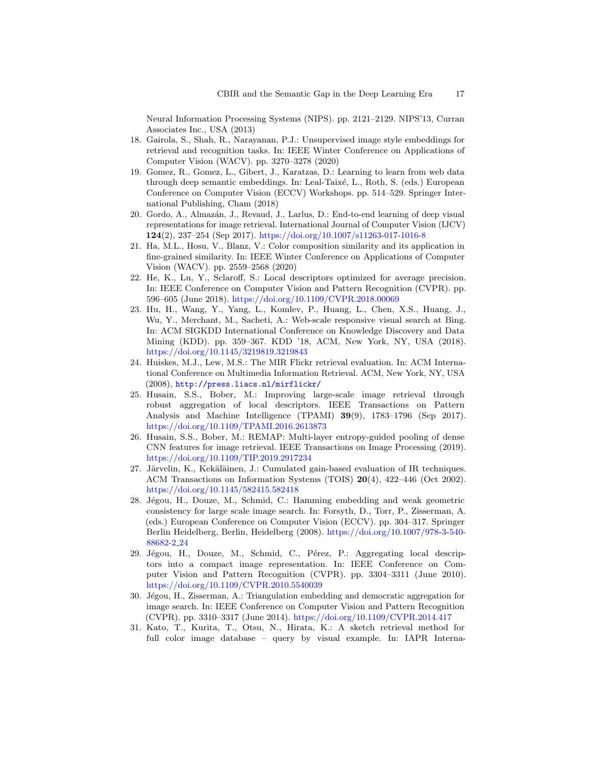Neural Information Processing Systems (NIPS). pp. 2121–2129. NIPS'13, Curran Associates Inc., USA (2013)

- <span id="page-16-12"></span>18. Gairola, S., Shah, R., Narayanan, P.J.: Unsupervised image style embeddings for retrieval and recognition tasks. In: IEEE Winter Conference on Applications of Computer Vision (WACV). pp. 3270–3278 (2020)
- <span id="page-16-10"></span>19. Gomez, R., Gomez, L., Gibert, J., Karatzas, D.: Learning to learn from web data through deep semantic embeddings. In: Leal-Taixé, L., Roth, S. (eds.) European Conference on Computer Vision (ECCV) Workshops. pp. 514–529. Springer International Publishing, Cham (2018)
- <span id="page-16-4"></span>20. Gordo, A., Almazán, J., Revaud, J., Larlus, D.: End-to-end learning of deep visual representations for image retrieval. International Journal of Computer Vision (IJCV) 124(2), 237–254 (Sep 2017). <https://doi.org/10.1007/s11263-017-1016-8>
- <span id="page-16-11"></span>21. Ha, M.L., Hosu, V., Blanz, V.: Color composition similarity and its application in fine-grained similarity. In: IEEE Winter Conference on Applications of Computer Vision (WACV). pp. 2559–2568 (2020)
- <span id="page-16-7"></span>22. He, K., Lu, Y., Sclaroff, S.: Local descriptors optimized for average precision. In: IEEE Conference on Computer Vision and Pattern Recognition (CVPR). pp. 596–605 (June 2018). <https://doi.org/10.1109/CVPR.2018.00069>
- <span id="page-16-9"></span>23. Hu, H., Wang, Y., Yang, L., Komlev, P., Huang, L., Chen, X.S., Huang, J., Wu, Y., Merchant, M., Sacheti, A.: Web-scale responsive visual search at Bing. In: ACM SIGKDD International Conference on Knowledge Discovery and Data Mining (KDD). pp. 359–367. KDD '18, ACM, New York, NY, USA (2018). <https://doi.org/10.1145/3219819.3219843>
- <span id="page-16-8"></span>24. Huiskes, M.J., Lew, M.S.: The MIR Flickr retrieval evaluation. In: ACM International Conference on Multimedia Information Retrieval. ACM, New York, NY, USA (2008), <http://press.liacs.nl/mirflickr/>
- <span id="page-16-3"></span>25. Husain, S.S., Bober, M.: Improving large-scale image retrieval through robust aggregation of local descriptors. IEEE Transactions on Pattern Analysis and Machine Intelligence (TPAMI) 39(9), 1783–1796 (Sep 2017). <https://doi.org/10.1109/TPAMI.2016.2613873>
- <span id="page-16-6"></span>26. Husain, S.S., Bober, M.: REMAP: Multi-layer entropy-guided pooling of dense CNN features for image retrieval. IEEE Transactions on Image Processing (2019). <https://doi.org/10.1109/TIP.2019.2917234>
- <span id="page-16-13"></span>27. Järvelin, K., Kekäläinen, J.: Cumulated gain-based evaluation of IR techniques. ACM Transactions on Information Systems (TOIS) 20(4), 422–446 (Oct 2002). <https://doi.org/10.1145/582415.582418>
- <span id="page-16-5"></span>28. Jégou, H., Douze, M., Schmid, C.: Hamming embedding and weak geometric consistency for large scale image search. In: Forsyth, D., Torr, P., Zisserman, A. (eds.) European Conference on Computer Vision (ECCV). pp. 304–317. Springer Berlin Heidelberg, Berlin, Heidelberg (2008). [https://doi.org/10.1007/978-3-540-](https://doi.org/10.1007/978-3-540-88682-2_24) [88682-2](https://doi.org/10.1007/978-3-540-88682-2_24) 24
- <span id="page-16-1"></span>29. Jégou, H., Douze, M., Schmid, C., Pérez, P.: Aggregating local descriptors into a compact image representation. In: IEEE Conference on Computer Vision and Pattern Recognition (CVPR). pp. 3304–3311 (June 2010). <https://doi.org/10.1109/CVPR.2010.5540039>
- <span id="page-16-2"></span>30. Jégou, H., Zisserman, A.: Triangulation embedding and democratic aggregation for image search. In: IEEE Conference on Computer Vision and Pattern Recognition (CVPR). pp. 3310–3317 (June 2014). <https://doi.org/10.1109/CVPR.2014.417>
- <span id="page-16-0"></span>31. Kato, T., Kurita, T., Otsu, N., Hirata, K.: A sketch retrieval method for full color image database – query by visual example. In: IAPR Interna-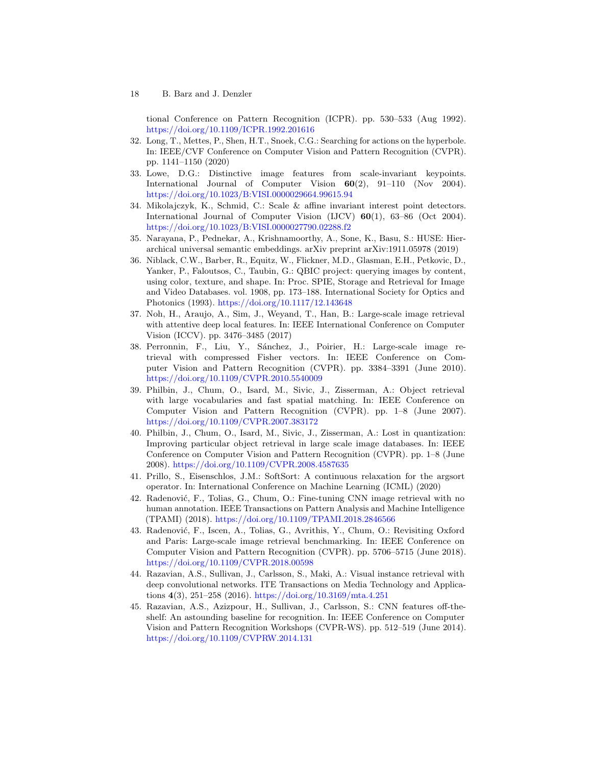tional Conference on Pattern Recognition (ICPR). pp. 530–533 (Aug 1992). <https://doi.org/10.1109/ICPR.1992.201616>

- <span id="page-17-12"></span>32. Long, T., Mettes, P., Shen, H.T., Snoek, C.G.: Searching for actions on the hyperbole. In: IEEE/CVF Conference on Computer Vision and Pattern Recognition (CVPR). pp. 1141–1150 (2020)
- <span id="page-17-8"></span>33. Lowe, D.G.: Distinctive image features from scale-invariant keypoints. International Journal of Computer Vision 60(2), 91–110 (Nov 2004). <https://doi.org/10.1023/B:VISI.0000029664.99615.94>
- <span id="page-17-7"></span>34. Mikolajczyk, K., Schmid, C.: Scale & affine invariant interest point detectors. International Journal of Computer Vision (IJCV) 60(1), 63–86 (Oct 2004). <https://doi.org/10.1023/B:VISI.0000027790.02288.f2>
- <span id="page-17-13"></span>35. Narayana, P., Pednekar, A., Krishnamoorthy, A., Sone, K., Basu, S.: HUSE: Hierarchical universal semantic embeddings. arXiv preprint arXiv:1911.05978 (2019)
- <span id="page-17-0"></span>36. Niblack, C.W., Barber, R., Equitz, W., Flickner, M.D., Glasman, E.H., Petkovic, D., Yanker, P., Faloutsos, C., Taubin, G.: QBIC project: querying images by content, using color, texture, and shape. In: Proc. SPIE, Storage and Retrieval for Image and Video Databases. vol. 1908, pp. 173–188. International Society for Optics and Photonics (1993). <https://doi.org/10.1117/12.143648>
- <span id="page-17-10"></span>37. Noh, H., Araujo, A., Sim, J., Weyand, T., Han, B.: Large-scale image retrieval with attentive deep local features. In: IEEE International Conference on Computer Vision (ICCV). pp. 3476–3485 (2017)
- <span id="page-17-1"></span>38. Perronnin, F., Liu, Y., Sánchez, J., Poirier, H.: Large-scale image retrieval with compressed Fisher vectors. In: IEEE Conference on Computer Vision and Pattern Recognition (CVPR). pp. 3384–3391 (June 2010). <https://doi.org/10.1109/CVPR.2010.5540009>
- <span id="page-17-3"></span>39. Philbin, J., Chum, O., Isard, M., Sivic, J., Zisserman, A.: Object retrieval with large vocabularies and fast spatial matching. In: IEEE Conference on Computer Vision and Pattern Recognition (CVPR). pp. 1–8 (June 2007). <https://doi.org/10.1109/CVPR.2007.383172>
- <span id="page-17-4"></span>40. Philbin, J., Chum, O., Isard, M., Sivic, J., Zisserman, A.: Lost in quantization: Improving particular object retrieval in large scale image databases. In: IEEE Conference on Computer Vision and Pattern Recognition (CVPR). pp. 1–8 (June 2008). <https://doi.org/10.1109/CVPR.2008.4587635>
- <span id="page-17-9"></span>41. Prillo, S., Eisenschlos, J.M.: SoftSort: A continuous relaxation for the argsort operator. In: International Conference on Machine Learning (ICML) (2020)
- <span id="page-17-2"></span>42. Radenović, F., Tolias, G., Chum, O.: Fine-tuning CNN image retrieval with no human annotation. IEEE Transactions on Pattern Analysis and Machine Intelligence (TPAMI) (2018). <https://doi.org/10.1109/TPAMI.2018.2846566>
- <span id="page-17-5"></span>43. Radenović, F., Iscen, A., Tolias, G., Avrithis, Y., Chum, O.: Revisiting Oxford and Paris: Large-scale image retrieval benchmarking. In: IEEE Conference on Computer Vision and Pattern Recognition (CVPR). pp. 5706–5715 (June 2018). <https://doi.org/10.1109/CVPR.2018.00598>
- <span id="page-17-11"></span>44. Razavian, A.S., Sullivan, J., Carlsson, S., Maki, A.: Visual instance retrieval with deep convolutional networks. ITE Transactions on Media Technology and Applications 4(3), 251–258 (2016). <https://doi.org/10.3169/mta.4.251>
- <span id="page-17-6"></span>45. Razavian, A.S., Azizpour, H., Sullivan, J., Carlsson, S.: CNN features off-theshelf: An astounding baseline for recognition. In: IEEE Conference on Computer Vision and Pattern Recognition Workshops (CVPR-WS). pp. 512–519 (June 2014). <https://doi.org/10.1109/CVPRW.2014.131>